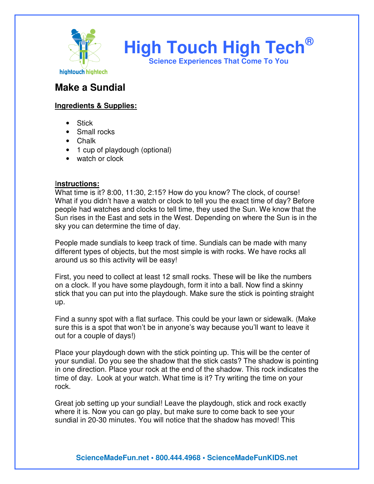

**High Touch High Tech® Science Experiences That Come To You** 

## **Make a Sundial**

## **Ingredients & Supplies:**

- Stick
- Small rocks
- Chalk
- 1 cup of playdough (optional)
- watch or clock

## I**nstructions:**

What time is it? 8:00, 11:30, 2:15? How do you know? The clock, of course! What if you didn't have a watch or clock to tell you the exact time of day? Before people had watches and clocks to tell time, they used the Sun. We know that the Sun rises in the East and sets in the West. Depending on where the Sun is in the sky you can determine the time of day.

People made sundials to keep track of time. Sundials can be made with many different types of objects, but the most simple is with rocks. We have rocks all around us so this activity will be easy!

First, you need to collect at least 12 small rocks. These will be like the numbers on a clock. If you have some playdough, form it into a ball. Now find a skinny stick that you can put into the playdough. Make sure the stick is pointing straight up.

Find a sunny spot with a flat surface. This could be your lawn or sidewalk. (Make sure this is a spot that won't be in anyone's way because you'll want to leave it out for a couple of days!)

Place your playdough down with the stick pointing up. This will be the center of your sundial. Do you see the shadow that the stick casts? The shadow is pointing in one direction. Place your rock at the end of the shadow. This rock indicates the time of day. Look at your watch. What time is it? Try writing the time on your rock.

Great job setting up your sundial! Leave the playdough, stick and rock exactly where it is. Now you can go play, but make sure to come back to see your sundial in 20-30 minutes. You will notice that the shadow has moved! This